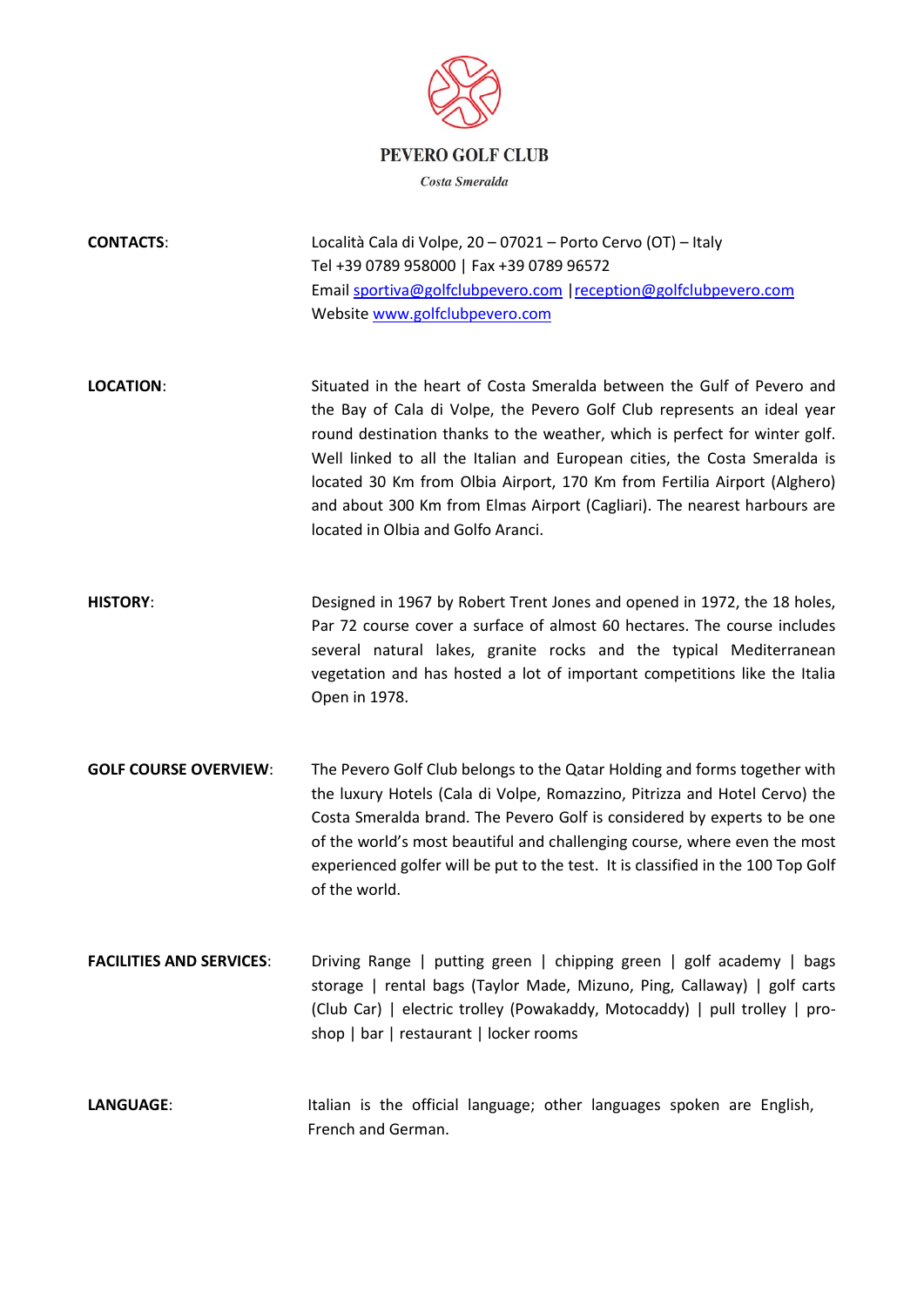

## **PEVERO GOLF CLUB**

Costa Smeralda

**CONTACTS**: Località Cala di Volpe, 20 – 07021 – Porto Cervo (OT) – Italy Tel +39 0789 958000 | Fax +39 0789 96572 Emai[l sportiva@golfclubpevero.com](mailto:sportiva@golfclubpevero.com) [|reception@golfclubpevero.com](mailto:reception@golfclubpevero.com) Website [www.golfclubpevero.com](http://www.golfclubpevero.com/)

**LOCATION**: Situated in the heart of Costa Smeralda between the Gulf of Pevero and the Bay of Cala di Volpe, the Pevero Golf Club represents an ideal year round destination thanks to the weather, which is perfect for winter golf. Well linked to all the Italian and European cities, the Costa Smeralda is located 30 Km from Olbia Airport, 170 Km from Fertilia Airport (Alghero) and about 300 Km from Elmas Airport (Cagliari). The nearest harbours are located in Olbia and Golfo Aranci.

**HISTORY**: Designed in 1967 by Robert Trent Jones and opened in 1972, the 18 holes, Par 72 course cover a surface of almost 60 hectares. The course includes several natural lakes, granite rocks and the typical Mediterranean vegetation and has hosted a lot of important competitions like the Italia Open in 1978.

- **GOLF COURSE OVERVIEW**: The Pevero Golf Club belongs to the Qatar Holding and forms together with the luxury Hotels (Cala di Volpe, Romazzino, Pitrizza and Hotel Cervo) the Costa Smeralda brand. The Pevero Golf is considered by experts to be one of the world's most beautiful and challenging course, where even the most experienced golfer will be put to the test. It is classified in the 100 Top Golf of the world.
- **FACILITIES AND SERVICES:** Driving Range | putting green | chipping green | golf academy | bags storage | rental bags (Taylor Made, Mizuno, Ping, Callaway) | golf carts (Club Car) | electric trolley (Powakaddy, Motocaddy) | pull trolley | proshop | bar | restaurant | locker rooms
- LANGUAGE: Italian is the official language; other languages spoken are English, French and German.